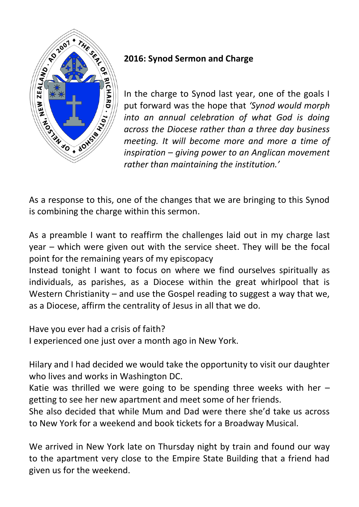

## **2016: Synod Sermon and Charge**

In the charge to Synod last year, one of the goals I put forward was the hope that *'Synod would morph into an annual celebration of what God is doing across the Diocese rather than a three day business meeting. It will become more and more a time of inspiration – giving power to an Anglican movement rather than maintaining the institution.'*

As a response to this, one of the changes that we are bringing to this Synod is combining the charge within this sermon.

As a preamble I want to reaffirm the challenges laid out in my charge last year – which were given out with the service sheet. They will be the focal point for the remaining years of my episcopacy

Instead tonight I want to focus on where we find ourselves spiritually as individuals, as parishes, as a Diocese within the great whirlpool that is Western Christianity – and use the Gospel reading to suggest a way that we, as a Diocese, affirm the centrality of Jesus in all that we do.

Have you ever had a crisis of faith?

I experienced one just over a month ago in New York.

Hilary and I had decided we would take the opportunity to visit our daughter who lives and works in Washington DC.

Katie was thrilled we were going to be spending three weeks with her  $$ getting to see her new apartment and meet some of her friends.

She also decided that while Mum and Dad were there she'd take us across to New York for a weekend and book tickets for a Broadway Musical.

We arrived in New York late on Thursday night by train and found our way to the apartment very close to the Empire State Building that a friend had given us for the weekend.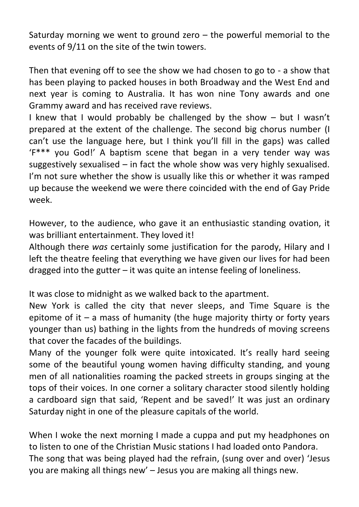Saturday morning we went to ground zero  $-$  the powerful memorial to the events of 9/11 on the site of the twin towers.

Then that evening off to see the show we had chosen to go to - a show that has been playing to packed houses in both Broadway and the West End and next year is coming to Australia. It has won nine Tony awards and one Grammy award and has received rave reviews.

I knew that I would probably be challenged by the show – but I wasn't prepared at the extent of the challenge. The second big chorus number (I can't use the language here, but I think you'll fill in the gaps) was called 'F\*\*\* you God!' A baptism scene that began in a very tender way was suggestively sexualised – in fact the whole show was very highly sexualised. I'm not sure whether the show is usually like this or whether it was ramped up because the weekend we were there coincided with the end of Gay Pride week.

However, to the audience, who gave it an enthusiastic standing ovation, it was brilliant entertainment. They loved it!

Although there *was* certainly some justification for the parody, Hilary and I left the theatre feeling that everything we have given our lives for had been dragged into the gutter – it was quite an intense feeling of loneliness.

It was close to midnight as we walked back to the apartment.

New York is called the city that never sleeps, and Time Square is the epitome of it  $-$  a mass of humanity (the huge majority thirty or forty years younger than us) bathing in the lights from the hundreds of moving screens that cover the facades of the buildings.

Many of the younger folk were quite intoxicated. It's really hard seeing some of the beautiful young women having difficulty standing, and young men of all nationalities roaming the packed streets in groups singing at the tops of their voices. In one corner a solitary character stood silently holding a cardboard sign that said, 'Repent and be saved!' It was just an ordinary Saturday night in one of the pleasure capitals of the world.

When I woke the next morning I made a cuppa and put my headphones on to listen to one of the Christian Music stations I had loaded onto Pandora. The song that was being played had the refrain, (sung over and over) 'Jesus you are making all things new' – Jesus you are making all things new.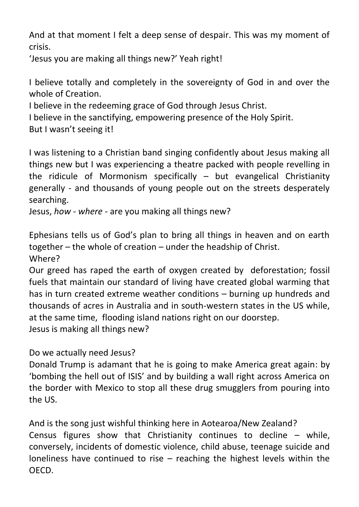And at that moment I felt a deep sense of despair. This was my moment of crisis.

'Jesus you are making all things new?' Yeah right!

I believe totally and completely in the sovereignty of God in and over the whole of Creation.

I believe in the redeeming grace of God through Jesus Christ.

I believe in the sanctifying, empowering presence of the Holy Spirit.

But I wasn't seeing it!

I was listening to a Christian band singing confidently about Jesus making all things new but I was experiencing a theatre packed with people revelling in the ridicule of Mormonism specifically  $-$  but evangelical Christianity generally - and thousands of young people out on the streets desperately searching.

Jesus, *how - where* - are you making all things new?

Ephesians tells us of God's plan to bring all things in heaven and on earth together – the whole of creation – under the headship of Christ.

Where?

Our greed has raped the earth of oxygen created by deforestation; fossil fuels that maintain our standard of living have created global warming that has in turn created extreme weather conditions – burning up hundreds and thousands of acres in Australia and in south-western states in the US while, at the same time, flooding island nations right on our doorstep. Jesus is making all things new?

Do we actually need Jesus?

Donald Trump is adamant that he is going to make America great again: by 'bombing the hell out of ISIS' and by building a wall right across America on the border with Mexico to stop all these drug smugglers from pouring into the US.

And is the song just wishful thinking here in Aotearoa/New Zealand? Census figures show that Christianity continues to decline – while, conversely, incidents of domestic violence, child abuse, teenage suicide and loneliness have continued to rise – reaching the highest levels within the OECD.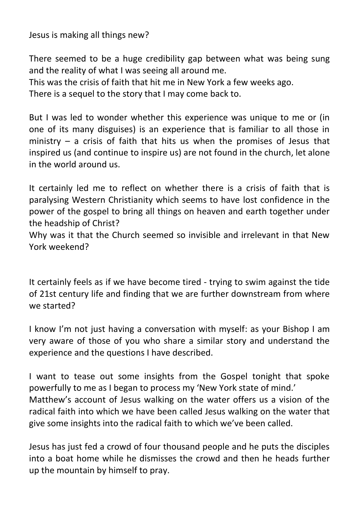Jesus is making all things new?

There seemed to be a huge credibility gap between what was being sung and the reality of what I was seeing all around me.

This was the crisis of faith that hit me in New York a few weeks ago. There is a sequel to the story that I may come back to.

But I was led to wonder whether this experience was unique to me or (in one of its many disguises) is an experience that is familiar to all those in ministry  $-$  a crisis of faith that hits us when the promises of Jesus that inspired us (and continue to inspire us) are not found in the church, let alone in the world around us.

It certainly led me to reflect on whether there is a crisis of faith that is paralysing Western Christianity which seems to have lost confidence in the power of the gospel to bring all things on heaven and earth together under the headship of Christ?

Why was it that the Church seemed so invisible and irrelevant in that New York weekend?

It certainly feels as if we have become tired - trying to swim against the tide of 21st century life and finding that we are further downstream from where we started?

I know I'm not just having a conversation with myself: as your Bishop I am very aware of those of you who share a similar story and understand the experience and the questions I have described.

I want to tease out some insights from the Gospel tonight that spoke powerfully to me as I began to process my 'New York state of mind.' Matthew's account of Jesus walking on the water offers us a vision of the radical faith into which we have been called Jesus walking on the water that give some insights into the radical faith to which we've been called.

Jesus has just fed a crowd of four thousand people and he puts the disciples into a boat home while he dismisses the crowd and then he heads further up the mountain by himself to pray.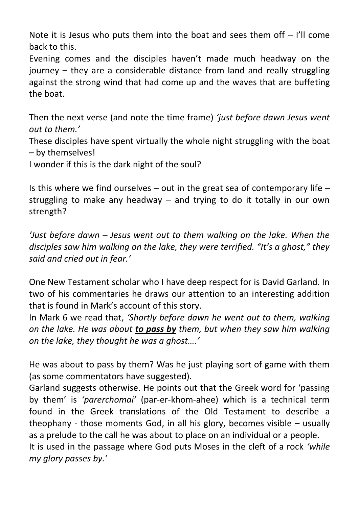Note it is Jesus who puts them into the boat and sees them off  $-$  I'll come back to this.

Evening comes and the disciples haven't made much headway on the journey – they are a considerable distance from land and really struggling against the strong wind that had come up and the waves that are buffeting the boat.

Then the next verse (and note the time frame) *'just before dawn Jesus went out to them.'*

These disciples have spent virtually the whole night struggling with the boat – by themselves!

I wonder if this is the dark night of the soul?

Is this where we find ourselves  $-$  out in the great sea of contemporary life  $$ struggling to make any headway – and trying to do it totally in our own strength?

*'Just before dawn – Jesus went out to them walking on the lake. When the disciples saw him walking on the lake, they were terrified. "It's a ghost," they said and cried out in fear.'*

One New Testament scholar who I have deep respect for is David Garland. In two of his commentaries he draws our attention to an interesting addition that is found in Mark's account of this story.

In Mark 6 we read that, *'Shortly before dawn he went out to them, walking on the lake. He was about to pass by them, but when they saw him walking on the lake, they thought he was a ghost….'*

He was about to pass by them? Was he just playing sort of game with them (as some commentators have suggested).

Garland suggests otherwise. He points out that the Greek word for 'passing by them' is *'parerchomai'* (par-er-khom-ahee) which is a technical term found in the Greek translations of the Old Testament to describe a theophany - those moments God, in all his glory, becomes visible – usually as a prelude to the call he was about to place on an individual or a people.

It is used in the passage where God puts Moses in the cleft of a rock *'while my glory passes by.'*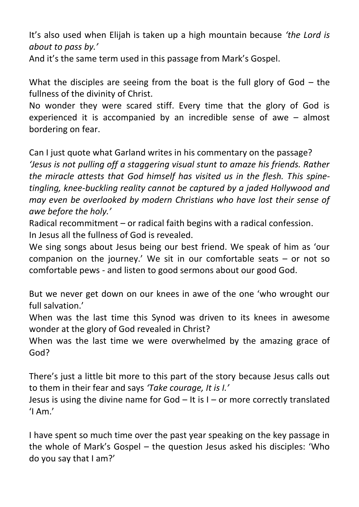It's also used when Elijah is taken up a high mountain because *'the Lord is about to pass by.'*

And it's the same term used in this passage from Mark's Gospel.

What the disciples are seeing from the boat is the full glory of God – the fullness of the divinity of Christ.

No wonder they were scared stiff. Every time that the glory of God is experienced it is accompanied by an incredible sense of awe – almost bordering on fear.

Can I just quote what Garland writes in his commentary on the passage?

*'Jesus is not pulling off a staggering visual stunt to amaze his friends. Rather the miracle attests that God himself has visited us in the flesh. This spinetingling, knee-buckling reality cannot be captured by a jaded Hollywood and may even be overlooked by modern Christians who have lost their sense of awe before the holy.'*

Radical recommitment – or radical faith begins with a radical confession. In Jesus all the fullness of God is revealed.

We sing songs about Jesus being our best friend. We speak of him as 'our companion on the journey.' We sit in our comfortable seats – or not so comfortable pews - and listen to good sermons about our good God.

But we never get down on our knees in awe of the one 'who wrought our full salvation.'

When was the last time this Synod was driven to its knees in awesome wonder at the glory of God revealed in Christ?

When was the last time we were overwhelmed by the amazing grace of God?

There's just a little bit more to this part of the story because Jesus calls out to them in their fear and says *'Take courage, It is I.'*

Jesus is using the divine name for God – It is I – or more correctly translated  $'$ I Am. $'$ 

I have spent so much time over the past year speaking on the key passage in the whole of Mark's Gospel – the question Jesus asked his disciples: 'Who do you say that I am?'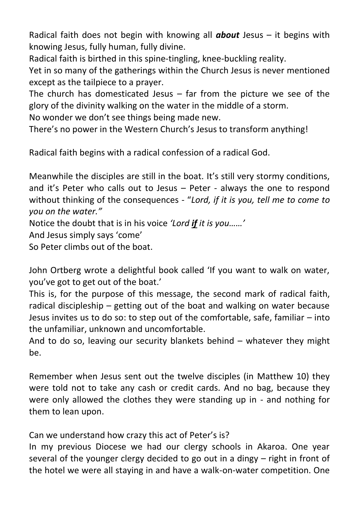Radical faith does not begin with knowing all *about* Jesus – it begins with knowing Jesus, fully human, fully divine.

Radical faith is birthed in this spine-tingling, knee-buckling reality.

Yet in so many of the gatherings within the Church Jesus is never mentioned except as the tailpiece to a prayer.

The church has domesticated Jesus  $-$  far from the picture we see of the glory of the divinity walking on the water in the middle of a storm.

No wonder we don't see things being made new.

There's no power in the Western Church's Jesus to transform anything!

Radical faith begins with a radical confession of a radical God.

Meanwhile the disciples are still in the boat. It's still very stormy conditions, and it's Peter who calls out to Jesus – Peter - always the one to respond without thinking of the consequences - "*Lord, if it is you, tell me to come to you on the water."*

Notice the doubt that is in his voice *'Lord if it is you……'*

And Jesus simply says 'come'

So Peter climbs out of the boat.

John Ortberg wrote a delightful book called 'If you want to walk on water, you've got to get out of the boat.'

This is, for the purpose of this message, the second mark of radical faith, radical discipleship – getting out of the boat and walking on water because Jesus invites us to do so: to step out of the comfortable, safe, familiar – into the unfamiliar, unknown and uncomfortable.

And to do so, leaving our security blankets behind – whatever they might be.

Remember when Jesus sent out the twelve disciples (in Matthew 10) they were told not to take any cash or credit cards. And no bag, because they were only allowed the clothes they were standing up in - and nothing for them to lean upon.

Can we understand how crazy this act of Peter's is?

In my previous Diocese we had our clergy schools in Akaroa. One year several of the younger clergy decided to go out in a dingy – right in front of the hotel we were all staying in and have a walk-on-water competition. One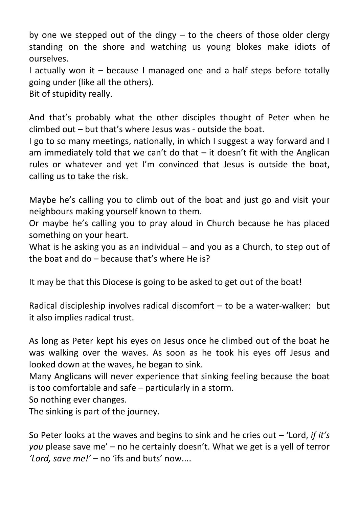by one we stepped out of the dingy – to the cheers of those older clergy standing on the shore and watching us young blokes make idiots of ourselves.

I actually won it – because I managed one and a half steps before totally going under (like all the others).

Bit of stupidity really.

And that's probably what the other disciples thought of Peter when he climbed out – but that's where Jesus was - outside the boat.

I go to so many meetings, nationally, in which I suggest a way forward and I am immediately told that we can't do that  $-$  it doesn't fit with the Anglican rules or whatever and yet I'm convinced that Jesus is outside the boat, calling us to take the risk.

Maybe he's calling you to climb out of the boat and just go and visit your neighbours making yourself known to them.

Or maybe he's calling you to pray aloud in Church because he has placed something on your heart.

What is he asking you as an individual – and you as a Church, to step out of the boat and do – because that's where He is?

It may be that this Diocese is going to be asked to get out of the boat!

Radical discipleship involves radical discomfort – to be a water-walker: but it also implies radical trust.

As long as Peter kept his eyes on Jesus once he climbed out of the boat he was walking over the waves. As soon as he took his eyes off Jesus and looked down at the waves, he began to sink.

Many Anglicans will never experience that sinking feeling because the boat is too comfortable and safe – particularly in a storm.

So nothing ever changes.

The sinking is part of the journey.

So Peter looks at the waves and begins to sink and he cries out – 'Lord, *if it's you* please save me' – no he certainly doesn't. What we get is a yell of terror *'Lord, save me!'* – no 'ifs and buts' now....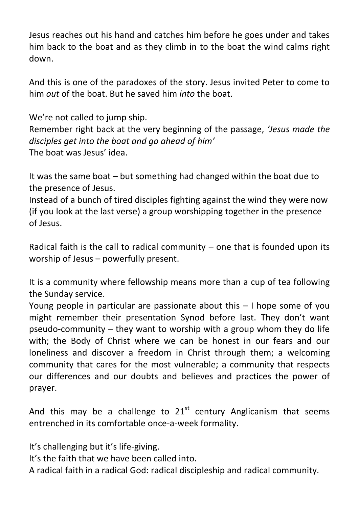Jesus reaches out his hand and catches him before he goes under and takes him back to the boat and as they climb in to the boat the wind calms right down.

And this is one of the paradoxes of the story. Jesus invited Peter to come to him *out* of the boat. But he saved him *into* the boat.

We're not called to jump ship.

Remember right back at the very beginning of the passage, *'Jesus made the disciples get into the boat and go ahead of him'* The boat was Jesus' idea.

It was the same boat – but something had changed within the boat due to the presence of Jesus.

Instead of a bunch of tired disciples fighting against the wind they were now (if you look at the last verse) a group worshipping together in the presence of Jesus.

Radical faith is the call to radical community  $-$  one that is founded upon its worship of Jesus – powerfully present.

It is a community where fellowship means more than a cup of tea following the Sunday service.

Young people in particular are passionate about this – I hope some of you might remember their presentation Synod before last. They don't want pseudo-community – they want to worship with a group whom they do life with; the Body of Christ where we can be honest in our fears and our loneliness and discover a freedom in Christ through them; a welcoming community that cares for the most vulnerable; a community that respects our differences and our doubts and believes and practices the power of prayer.

And this may be a challenge to  $21<sup>st</sup>$  century Anglicanism that seems entrenched in its comfortable once-a-week formality.

It's challenging but it's life-giving.

It's the faith that we have been called into.

A radical faith in a radical God: radical discipleship and radical community.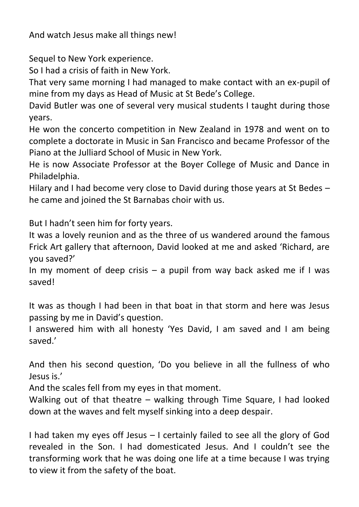And watch Jesus make all things new!

Sequel to New York experience.

So I had a crisis of faith in New York.

That very same morning I had managed to make contact with an ex-pupil of mine from my days as Head of Music at St Bede's College.

David Butler was one of several very musical students I taught during those years.

He won the concerto competition in New Zealand in 1978 and went on to complete a doctorate in Music in San Francisco and became Professor of the Piano at the Julliard School of Music in New York.

He is now Associate Professor at the Boyer College of Music and Dance in Philadelphia.

Hilary and I had become very close to David during those years at St Bedes – he came and joined the St Barnabas choir with us.

But I hadn't seen him for forty years.

It was a lovely reunion and as the three of us wandered around the famous Frick Art gallery that afternoon, David looked at me and asked 'Richard, are you saved?'

In my moment of deep crisis  $-$  a pupil from way back asked me if I was saved!

It was as though I had been in that boat in that storm and here was Jesus passing by me in David's question.

I answered him with all honesty 'Yes David, I am saved and I am being saved.'

And then his second question, 'Do you believe in all the fullness of who Jesus is.'

And the scales fell from my eyes in that moment.

Walking out of that theatre – walking through Time Square, I had looked down at the waves and felt myself sinking into a deep despair.

I had taken my eyes off Jesus – I certainly failed to see all the glory of God revealed in the Son. I had domesticated Jesus. And I couldn't see the transforming work that he was doing one life at a time because I was trying to view it from the safety of the boat.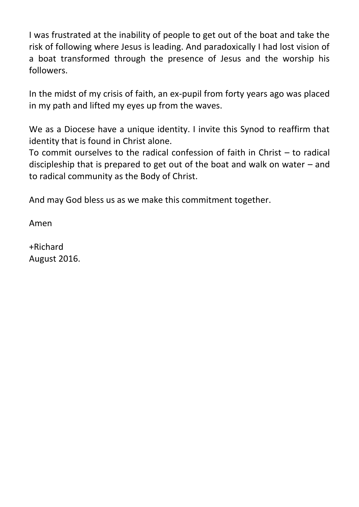I was frustrated at the inability of people to get out of the boat and take the risk of following where Jesus is leading. And paradoxically I had lost vision of a boat transformed through the presence of Jesus and the worship his followers.

In the midst of my crisis of faith, an ex-pupil from forty years ago was placed in my path and lifted my eyes up from the waves.

We as a Diocese have a unique identity. I invite this Synod to reaffirm that identity that is found in Christ alone.

To commit ourselves to the radical confession of faith in Christ – to radical discipleship that is prepared to get out of the boat and walk on water – and to radical community as the Body of Christ.

And may God bless us as we make this commitment together.

Amen

+Richard August 2016.